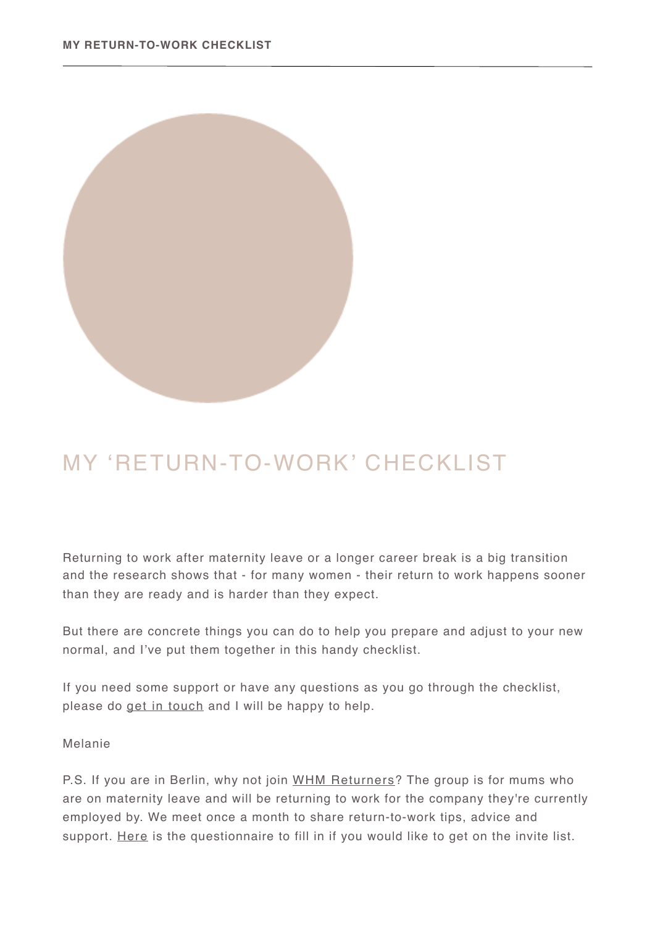

## MY 'RETURN-TO-WORK' CHECKLIST

Returning to work after maternity leave or a longer career break is a big transition and the research shows that - for many women - their return to work happens sooner than they are ready and is harder than they expect.

But there are concrete things you can do to help you prepare and adjust to your new normal, and I've put them together in this handy checklist.

If you need some support or have any questions as you go through the checklist, please do [get in touch](mailto:hello@melaniefieseler.com?subject=) and I will be happy to help.

Melanie

P.S. If you are in Berlin, why not join [WHM Returners](https://www.surveymonkey.de/r/T76597R)? The group is for mums who are on maternity leave and will be returning to work for the company they're currently employed by. We meet once a month to share return-to-work tips, advice and support. [Here](https://www.surveymonkey.de/r/T76597R) is the questionnaire to fill in if you would like to get on the invite list.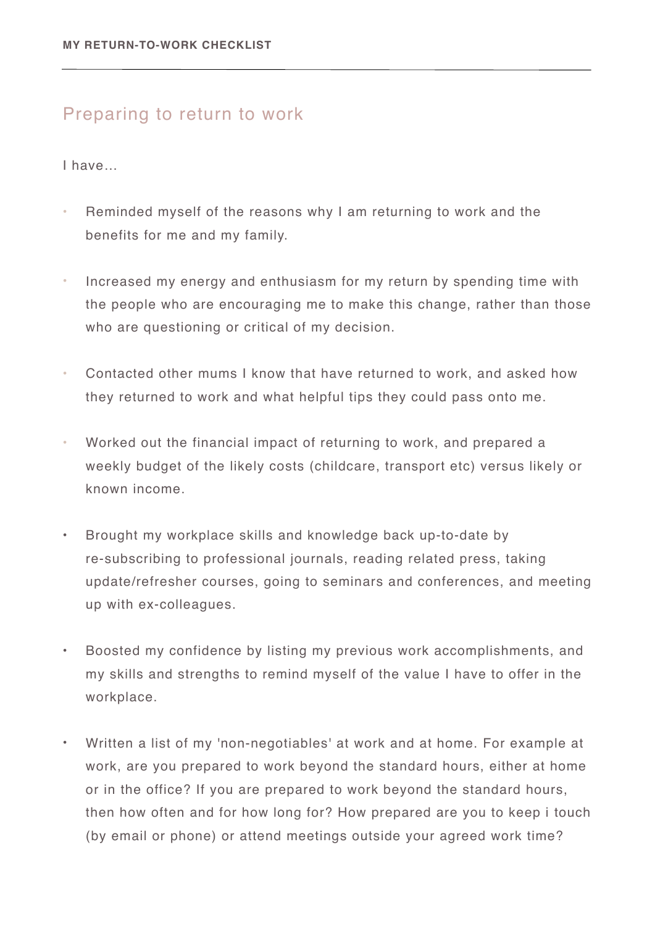## Preparing to return to work

I have…

- Reminded myself of the reasons why I am returning to work and the benefits for me and my family.
- Increased my energy and enthusiasm for my return by spending time with the people who are encouraging me to make this change, rather than those who are questioning or critical of my decision.
- Contacted other mums I know that have returned to work, and asked how they returned to work and what helpful tips they could pass onto me.
- Worked out the financial impact of returning to work, and prepared a weekly budget of the likely costs (childcare, transport etc) versus likely or known income.
- Brought my workplace skills and knowledge back up-to-date by re-subscribing to professional journals, reading related press, taking update/refresher courses, going to seminars and conferences, and meeting up with ex-colleagues.
- Boosted my confidence by listing my previous work accomplishments, and my skills and strengths to remind myself of the value I have to offer in the workplace.
- Written a list of my 'non-negotiables' at work and at home. For example at work, are you prepared to work beyond the standard hours, either at home or in the office? If you are prepared to work beyond the standard hours, then how often and for how long for? How prepared are you to keep i touch (by email or phone) or attend meetings outside your agreed work time?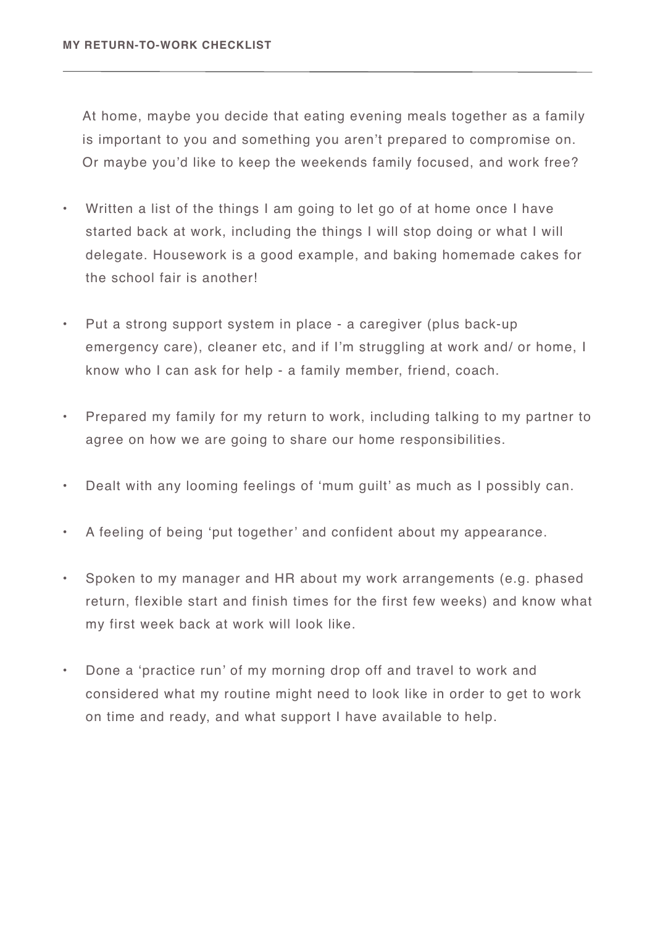At home, maybe you decide that eating evening meals together as a family is important to you and something you aren't prepared to compromise on. Or maybe you'd like to keep the weekends family focused, and work free?

- Written a list of the things I am going to let go of at home once I have started back at work, including the things I will stop doing or what I will delegate. Housework is a good example, and baking homemade cakes for the school fair is another!
- Put a strong support system in place a caregiver (plus back-up emergency care), cleaner etc, and if I'm struggling at work and/ or home, I know who I can ask for help - a family member, friend, coach.
- Prepared my family for my return to work, including talking to my partner to agree on how we are going to share our home responsibilities.
- Dealt with any looming feelings of 'mum guilt' as much as I possibly can.
- A feeling of being 'put together' and confident about my appearance.
- Spoken to my manager and HR about my work arrangements (e.g. phased return, flexible start and finish times for the first few weeks) and know what my first week back at work will look like.
- Done a 'practice run' of my morning drop off and travel to work and considered what my routine might need to look like in order to get to work on time and ready, and what support I have available to help.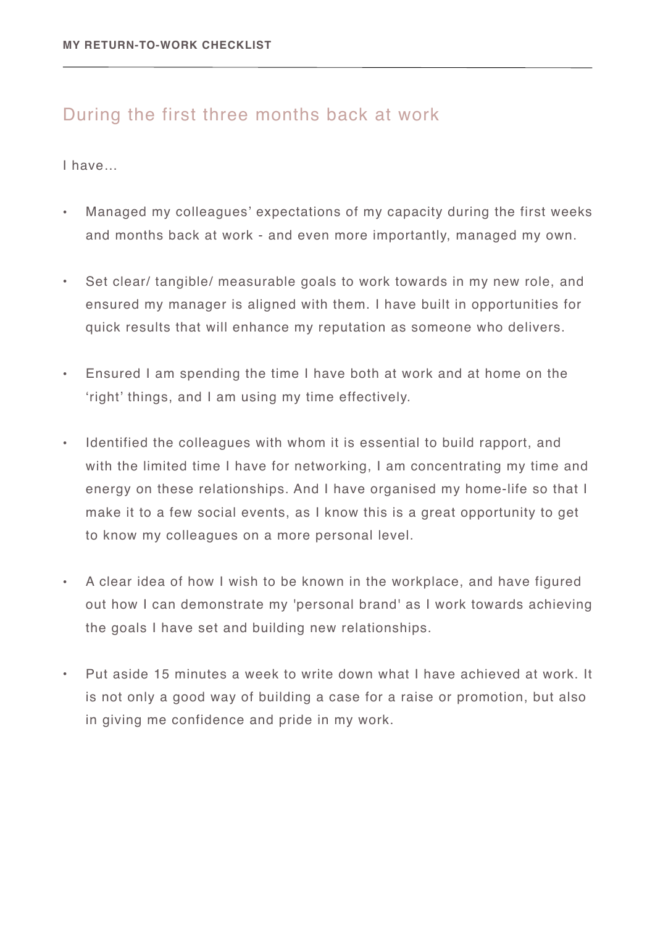## During the first three months back at work

I have…

- Managed my colleagues' expectations of my capacity during the first weeks and months back at work - and even more importantly, managed my own.
- Set clear/ tangible/ measurable goals to work towards in my new role, and ensured my manager is aligned with them. I have built in opportunities for quick results that will enhance my reputation as someone who delivers.
- Ensured I am spending the time I have both at work and at home on the 'right' things, and I am using my time effectively.
- Identified the colleagues with whom it is essential to build rapport, and with the limited time I have for networking, I am concentrating my time and energy on these relationships. And I have organised my home-life so that I make it to a few social events, as I know this is a great opportunity to get to know my colleagues on a more personal level.
- A clear idea of how I wish to be known in the workplace, and have figured out how I can demonstrate my 'personal brand' as I work towards achieving the goals I have set and building new relationships.
- Put aside 15 minutes a week to write down what I have achieved at work. It is not only a good way of building a case for a raise or promotion, but also in giving me confidence and pride in my work.